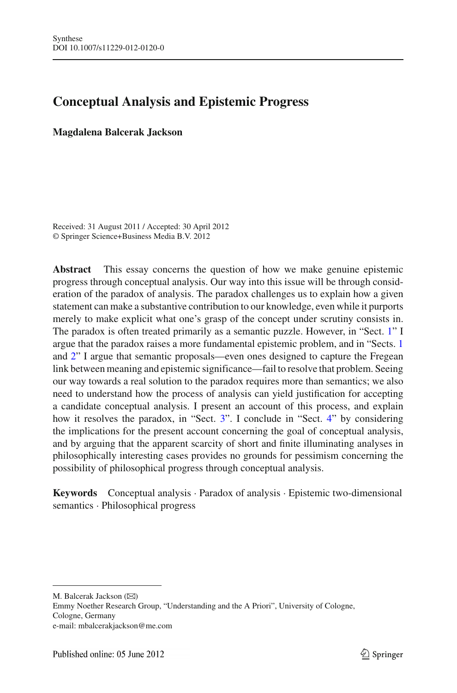# **Conceptual Analysis and Epistemic Progress**

**Magdalena Balcerak Jackson**

Received: 31 August 2011 / Accepted: 30 April 2012 © Springer Science+Business Media B.V. 2012

**Abstract** This essay concerns the question of how we make genuine epistemic progress through conceptual analysis. Our way into this issue will be through consideration of the paradox of analysis. The paradox challenges us to explain how a given statement can make a substantive contribution to our knowledge, even while it purports merely to make explicit what one's grasp of the concept under scrutiny consists in. The paradox is often treated primarily as a semantic puzzle. However, in "Sect. [1"](#page-1-0) I argue that the paradox raises a more fundamental epistemic problem, and in "Sects. [1](#page-1-0) and [2"](#page-8-0) I argue that semantic proposals—even ones designed to capture the Fregean link between meaning and epistemic significance—fail to resolve that problem. Seeing our way towards a real solution to the paradox requires more than semantics; we also need to understand how the process of analysis can yield justification for accepting a candidate conceptual analysis. I present an account of this process, and explain how it resolves the paradox, in "Sect. [3"](#page-13-0). I conclude in "Sect. [4"](#page-19-0) by considering the implications for the present account concerning the goal of conceptual analysis, and by arguing that the apparent scarcity of short and finite illuminating analyses in philosophically interesting cases provides no grounds for pessimism concerning the possibility of philosophical progress through conceptual analysis.

**Keywords** Conceptual analysis · Paradox of analysis · Epistemic two-dimensional semantics · Philosophical progress

M. Balcerak Jackson ( $\boxtimes$ ) Emmy Noether Research Group, "Understanding and the A Priori", University of Cologne, Cologne, Germany e-mail: mbalcerakjackson@me.com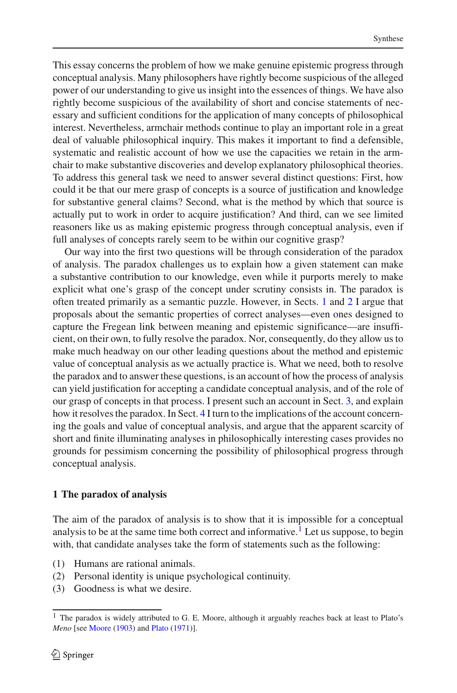This essay concerns the problem of how we make genuine epistemic progress through conceptual analysis. Many philosophers have rightly become suspicious of the alleged power of our understanding to give us insight into the essences of things. We have also rightly become suspicious of the availability of short and concise statements of necessary and sufficient conditions for the application of many concepts of philosophical interest. Nevertheless, armchair methods continue to play an important role in a great deal of valuable philosophical inquiry. This makes it important to find a defensible, systematic and realistic account of how we use the capacities we retain in the armchair to make substantive discoveries and develop explanatory philosophical theories. To address this general task we need to answer several distinct questions: First, how could it be that our mere grasp of concepts is a source of justification and knowledge for substantive general claims? Second, what is the method by which that source is actually put to work in order to acquire justification? And third, can we see limited reasoners like us as making epistemic progress through conceptual analysis, even if full analyses of concepts rarely seem to be within our cognitive grasp?

Our way into the first two questions will be through consideration of the paradox of analysis. The paradox challenges us to explain how a given statement can make a substantive contribution to our knowledge, even while it purports merely to make explicit what one's grasp of the concept under scrutiny consists in. The paradox is often treated primarily as a semantic puzzle. However, in Sects. [1](#page-1-0) and [2](#page-8-0) I argue that proposals about the semantic properties of correct analyses—even ones designed to capture the Fregean link between meaning and epistemic significance—are insufficient, on their own, to fully resolve the paradox. Nor, consequently, do they allow us to make much headway on our other leading questions about the method and epistemic value of conceptual analysis as we actually practice is. What we need, both to resolve the paradox and to answer these questions, is an account of how the process of analysis can yield justification for accepting a candidate conceptual analysis, and of the role of our grasp of concepts in that process. I present such an account in Sect. [3,](#page-13-0) and explain how it resolves the paradox. In Sect. [4](#page-19-0) I turn to the implications of the account concerning the goals and value of conceptual analysis, and argue that the apparent scarcity of short and finite illuminating analyses in philosophically interesting cases provides no grounds for pessimism concerning the possibility of philosophical progress through conceptual analysis.

### <span id="page-1-0"></span>**1 The paradox of analysis**

The aim of the paradox of analysis is to show that it is impossible for a conceptual analysis to be at the same time both correct and informative.<sup>[1](#page-1-1)</sup> Let us suppose, to begin with, that candidate analyses take the form of statements such as the following:

- (1) Humans are rational animals.
- (2) Personal identity is unique psychological continuity.
- (3) Goodness is what we desire.

<span id="page-1-1"></span><sup>&</sup>lt;sup>1</sup> The paradox is widely attributed to G. E. Moore, although it arguably reaches back at least to Plato's *Meno* [see [Moore](#page-21-0) [\(1903\)](#page-21-0) and [Plato](#page-21-1) [\(1971\)](#page-21-1)].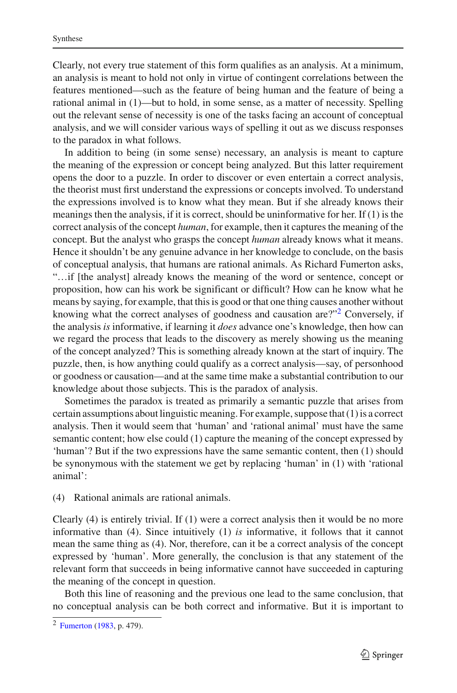Clearly, not every true statement of this form qualifies as an analysis. At a minimum, an analysis is meant to hold not only in virtue of contingent correlations between the features mentioned—such as the feature of being human and the feature of being a rational animal in (1)—but to hold, in some sense, as a matter of necessity. Spelling out the relevant sense of necessity is one of the tasks facing an account of conceptual analysis, and we will consider various ways of spelling it out as we discuss responses to the paradox in what follows.

In addition to being (in some sense) necessary, an analysis is meant to capture the meaning of the expression or concept being analyzed. But this latter requirement opens the door to a puzzle. In order to discover or even entertain a correct analysis, the theorist must first understand the expressions or concepts involved. To understand the expressions involved is to know what they mean. But if she already knows their meanings then the analysis, if it is correct, should be uninformative for her. If (1) is the correct analysis of the concept *human*, for example, then it captures the meaning of the concept. But the analyst who grasps the concept *human* already knows what it means. Hence it shouldn't be any genuine advance in her knowledge to conclude, on the basis of conceptual analysis, that humans are rational animals. As Richard Fumerton asks, "…if [the analyst] already knows the meaning of the word or sentence, concept or proposition, how can his work be significant or difficult? How can he know what he means by saying, for example, that this is good or that one thing causes another without knowing what the correct analyses of goodness and causation are?"<sup>2</sup> Conversely, if the analysis *is* informative, if learning it *does* advance one's knowledge, then how can we regard the process that leads to the discovery as merely showing us the meaning of the concept analyzed? This is something already known at the start of inquiry. The puzzle, then, is how anything could qualify as a correct analysis—say, of personhood or goodness or causation—and at the same time make a substantial contribution to our knowledge about those subjects. This is the paradox of analysis.

Sometimes the paradox is treated as primarily a semantic puzzle that arises from certain assumptions about linguistic meaning. For example, suppose that (1) is a correct analysis. Then it would seem that 'human' and 'rational animal' must have the same semantic content; how else could (1) capture the meaning of the concept expressed by 'human'? But if the two expressions have the same semantic content, then (1) should be synonymous with the statement we get by replacing 'human' in (1) with 'rational animal':

### (4) Rational animals are rational animals.

Clearly (4) is entirely trivial. If (1) were a correct analysis then it would be no more informative than (4). Since intuitively (1) *is* informative, it follows that it cannot mean the same thing as (4). Nor, therefore, can it be a correct analysis of the concept expressed by 'human'. More generally, the conclusion is that any statement of the relevant form that succeeds in being informative cannot have succeeded in capturing the meaning of the concept in question.

Both this line of reasoning and the previous one lead to the same conclusion, that no conceptual analysis can be both correct and informative. But it is important to

<span id="page-2-0"></span><sup>2</sup> [Fumerton](#page-21-2) [\(1983](#page-21-2), p. 479).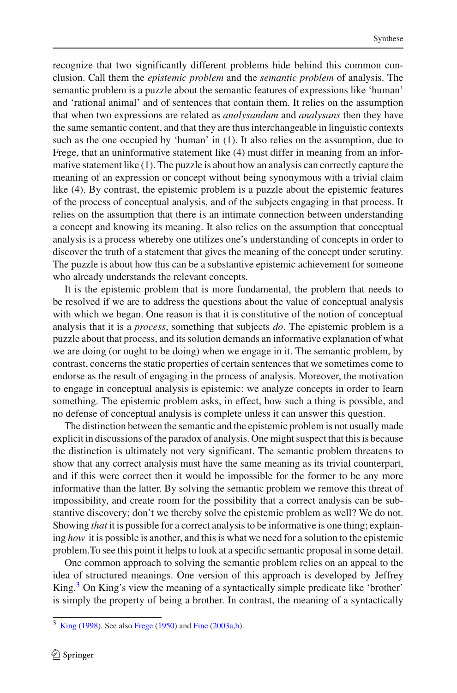recognize that two significantly different problems hide behind this common conclusion. Call them the *epistemic problem* and the *semantic problem* of analysis. The semantic problem is a puzzle about the semantic features of expressions like 'human' and 'rational animal' and of sentences that contain them. It relies on the assumption that when two expressions are related as *analysandum* and *analysans* then they have the same semantic content, and that they are thus interchangeable in linguistic contexts such as the one occupied by 'human' in (1). It also relies on the assumption, due to Frege, that an uninformative statement like (4) must differ in meaning from an informative statement like (1). The puzzle is about how an analysis can correctly capture the meaning of an expression or concept without being synonymous with a trivial claim like (4). By contrast, the epistemic problem is a puzzle about the epistemic features of the process of conceptual analysis, and of the subjects engaging in that process. It relies on the assumption that there is an intimate connection between understanding a concept and knowing its meaning. It also relies on the assumption that conceptual analysis is a process whereby one utilizes one's understanding of concepts in order to discover the truth of a statement that gives the meaning of the concept under scrutiny. The puzzle is about how this can be a substantive epistemic achievement for someone who already understands the relevant concepts.

It is the epistemic problem that is more fundamental, the problem that needs to be resolved if we are to address the questions about the value of conceptual analysis with which we began. One reason is that it is constitutive of the notion of conceptual analysis that it is a *process*, something that subjects *do*. The epistemic problem is a puzzle about that process, and its solution demands an informative explanation of what we are doing (or ought to be doing) when we engage in it. The semantic problem, by contrast, concerns the static properties of certain sentences that we sometimes come to endorse as the result of engaging in the process of analysis. Moreover, the motivation to engage in conceptual analysis is epistemic: we analyze concepts in order to learn something. The epistemic problem asks, in effect, how such a thing is possible, and no defense of conceptual analysis is complete unless it can answer this question.

The distinction between the semantic and the epistemic problem is not usually made explicit in discussions of the paradox of analysis. One might suspect that this is because the distinction is ultimately not very significant. The semantic problem threatens to show that any correct analysis must have the same meaning as its trivial counterpart, and if this were correct then it would be impossible for the former to be any more informative than the latter. By solving the semantic problem we remove this threat of impossibility, and create room for the possibility that a correct analysis can be substantive discovery; don't we thereby solve the epistemic problem as well? We do not. Showing *that* it is possible for a correct analysis to be informative is one thing; explaining *how* it is possible is another, and this is what we need for a solution to the epistemic problem.To see this point it helps to look at a specific semantic proposal in some detail.

One common approach to solving the semantic problem relies on an appeal to the idea of structured meanings. One version of this approach is developed by Jeffrey King.<sup>[3](#page-3-0)</sup> On King's view the meaning of a syntactically simple predicate like 'brother' is simply the property of being a brother. In contrast, the meaning of a syntactically

<span id="page-3-0"></span><sup>3</sup> [King](#page-21-3) [\(1998](#page-21-3)). See also [Frege](#page-21-4) [\(1950\)](#page-21-4) and [Fine](#page-21-5) [\(2003a](#page-21-5)[,b](#page-21-6)).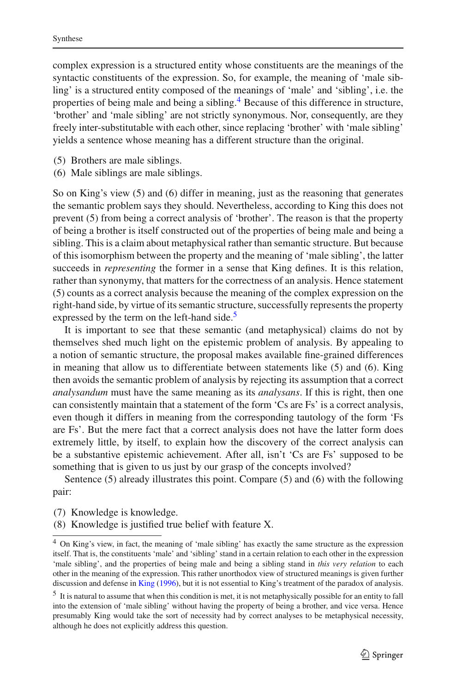complex expression is a structured entity whose constituents are the meanings of the syntactic constituents of the expression. So, for example, the meaning of 'male sibling' is a structured entity composed of the meanings of 'male' and 'sibling', i.e. the properties of being male and being a sibling.<sup>[4](#page-4-0)</sup> Because of this difference in structure, 'brother' and 'male sibling' are not strictly synonymous. Nor, consequently, are they freely inter-substitutable with each other, since replacing 'brother' with 'male sibling' yields a sentence whose meaning has a different structure than the original.

- (5) Brothers are male siblings.
- (6) Male siblings are male siblings.

So on King's view (5) and (6) differ in meaning, just as the reasoning that generates the semantic problem says they should. Nevertheless, according to King this does not prevent (5) from being a correct analysis of 'brother'. The reason is that the property of being a brother is itself constructed out of the properties of being male and being a sibling. This is a claim about metaphysical rather than semantic structure. But because of this isomorphism between the property and the meaning of 'male sibling', the latter succeeds in *representing* the former in a sense that King defines. It is this relation, rather than synonymy, that matters for the correctness of an analysis. Hence statement (5) counts as a correct analysis because the meaning of the complex expression on the right-hand side, by virtue of its semantic structure, successfully represents the property expressed by the term on the left-hand side.<sup>5</sup>

It is important to see that these semantic (and metaphysical) claims do not by themselves shed much light on the epistemic problem of analysis. By appealing to a notion of semantic structure, the proposal makes available fine-grained differences in meaning that allow us to differentiate between statements like (5) and (6). King then avoids the semantic problem of analysis by rejecting its assumption that a correct *analysandum* must have the same meaning as its *analysans*. If this is right, then one can consistently maintain that a statement of the form 'Cs are Fs' is a correct analysis, even though it differs in meaning from the corresponding tautology of the form 'Fs are Fs'. But the mere fact that a correct analysis does not have the latter form does extremely little, by itself, to explain how the discovery of the correct analysis can be a substantive epistemic achievement. After all, isn't 'Cs are Fs' supposed to be something that is given to us just by our grasp of the concepts involved?

Sentence (5) already illustrates this point. Compare (5) and (6) with the following pair:

(7) Knowledge is knowledge.

(8) Knowledge is justified true belief with feature X.

<span id="page-4-0"></span><sup>&</sup>lt;sup>4</sup> On King's view, in fact, the meaning of 'male sibling' has exactly the same structure as the expression itself. That is, the constituents 'male' and 'sibling' stand in a certain relation to each other in the expression 'male sibling', and the properties of being male and being a sibling stand in *this very relation* to each other in the meaning of the expression. This rather unorthodox view of structured meanings is given further discussion and defense in [King](#page-21-7) [\(1996](#page-21-7)), but it is not essential to King's treatment of the paradox of analysis.

<span id="page-4-1"></span><sup>&</sup>lt;sup>5</sup> It is natural to assume that when this condition is met, it is not metaphysically possible for an entity to fall into the extension of 'male sibling' without having the property of being a brother, and vice versa. Hence presumably King would take the sort of necessity had by correct analyses to be metaphysical necessity, although he does not explicitly address this question.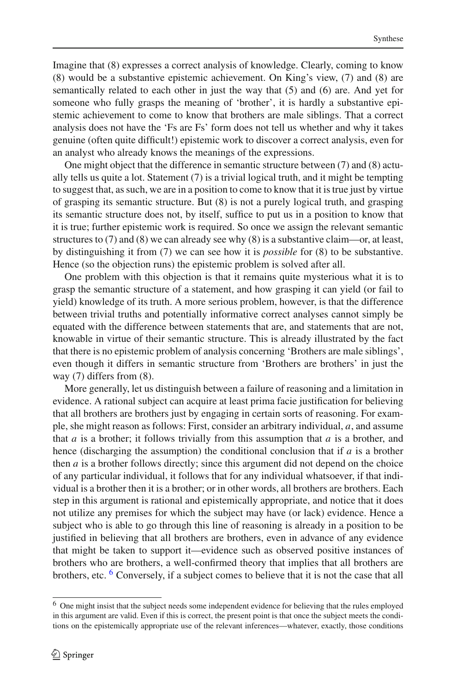Imagine that (8) expresses a correct analysis of knowledge. Clearly, coming to know (8) would be a substantive epistemic achievement. On King's view, (7) and (8) are semantically related to each other in just the way that (5) and (6) are. And yet for someone who fully grasps the meaning of 'brother', it is hardly a substantive epistemic achievement to come to know that brothers are male siblings. That a correct analysis does not have the 'Fs are Fs' form does not tell us whether and why it takes genuine (often quite difficult!) epistemic work to discover a correct analysis, even for an analyst who already knows the meanings of the expressions.

One might object that the difference in semantic structure between (7) and (8) actually tells us quite a lot. Statement (7) is a trivial logical truth, and it might be tempting to suggest that, as such, we are in a position to come to know that it is true just by virtue of grasping its semantic structure. But (8) is not a purely logical truth, and grasping its semantic structure does not, by itself, suffice to put us in a position to know that it is true; further epistemic work is required. So once we assign the relevant semantic structures to (7) and (8) we can already see why (8) is a substantive claim—or, at least, by distinguishing it from (7) we can see how it is *possible* for (8) to be substantive. Hence (so the objection runs) the epistemic problem is solved after all.

One problem with this objection is that it remains quite mysterious what it is to grasp the semantic structure of a statement, and how grasping it can yield (or fail to yield) knowledge of its truth. A more serious problem, however, is that the difference between trivial truths and potentially informative correct analyses cannot simply be equated with the difference between statements that are, and statements that are not, knowable in virtue of their semantic structure. This is already illustrated by the fact that there is no epistemic problem of analysis concerning 'Brothers are male siblings', even though it differs in semantic structure from 'Brothers are brothers' in just the way (7) differs from (8).

More generally, let us distinguish between a failure of reasoning and a limitation in evidence. A rational subject can acquire at least prima facie justification for believing that all brothers are brothers just by engaging in certain sorts of reasoning. For example, she might reason as follows: First, consider an arbitrary individual, *a*, and assume that *a* is a brother; it follows trivially from this assumption that *a* is a brother, and hence (discharging the assumption) the conditional conclusion that if *a* is a brother then *a* is a brother follows directly; since this argument did not depend on the choice of any particular individual, it follows that for any individual whatsoever, if that individual is a brother then it is a brother; or in other words, all brothers are brothers. Each step in this argument is rational and epistemically appropriate, and notice that it does not utilize any premises for which the subject may have (or lack) evidence. Hence a subject who is able to go through this line of reasoning is already in a position to be justified in believing that all brothers are brothers, even in advance of any evidence that might be taken to support it—evidence such as observed positive instances of brothers who are brothers, a well-confirmed theory that implies that all brothers are brothers, etc. <sup>[6](#page-5-0)</sup> Conversely, if a subject comes to believe that it is not the case that all

<span id="page-5-0"></span><sup>&</sup>lt;sup>6</sup> One might insist that the subject needs some independent evidence for believing that the rules employed in this argument are valid. Even if this is correct, the present point is that once the subject meets the conditions on the epistemically appropriate use of the relevant inferences—whatever, exactly, those conditions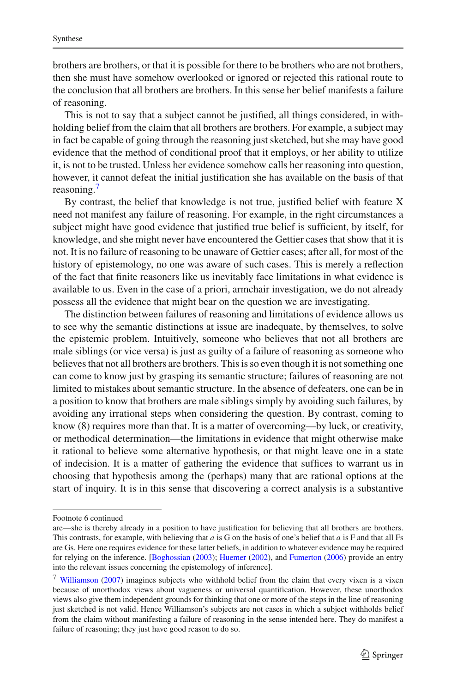brothers are brothers, or that it is possible for there to be brothers who are not brothers, then she must have somehow overlooked or ignored or rejected this rational route to the conclusion that all brothers are brothers. In this sense her belief manifests a failure of reasoning.

This is not to say that a subject cannot be justified, all things considered, in withholding belief from the claim that all brothers are brothers. For example, a subject may in fact be capable of going through the reasoning just sketched, but she may have good evidence that the method of conditional proof that it employs, or her ability to utilize it, is not to be trusted. Unless her evidence somehow calls her reasoning into question, however, it cannot defeat the initial justification she has available on the basis of that reasoning.<sup>[7](#page-6-0)</sup>

By contrast, the belief that knowledge is not true, justified belief with feature X need not manifest any failure of reasoning. For example, in the right circumstances a subject might have good evidence that justified true belief is sufficient, by itself, for knowledge, and she might never have encountered the Gettier cases that show that it is not. It is no failure of reasoning to be unaware of Gettier cases; after all, for most of the history of epistemology, no one was aware of such cases. This is merely a reflection of the fact that finite reasoners like us inevitably face limitations in what evidence is available to us. Even in the case of a priori, armchair investigation, we do not already possess all the evidence that might bear on the question we are investigating.

The distinction between failures of reasoning and limitations of evidence allows us to see why the semantic distinctions at issue are inadequate, by themselves, to solve the epistemic problem. Intuitively, someone who believes that not all brothers are male siblings (or vice versa) is just as guilty of a failure of reasoning as someone who believes that not all brothers are brothers. This is so even though it is not something one can come to know just by grasping its semantic structure; failures of reasoning are not limited to mistakes about semantic structure. In the absence of defeaters, one can be in a position to know that brothers are male siblings simply by avoiding such failures, by avoiding any irrational steps when considering the question. By contrast, coming to know (8) requires more than that. It is a matter of overcoming—by luck, or creativity, or methodical determination—the limitations in evidence that might otherwise make it rational to believe some alternative hypothesis, or that might leave one in a state of indecision. It is a matter of gathering the evidence that suffices to warrant us in choosing that hypothesis among the (perhaps) many that are rational options at the start of inquiry. It is in this sense that discovering a correct analysis is a substantive

Footnote 6 continued

are—she is thereby already in a position to have justification for believing that all brothers are brothers. This contrasts, for example, with believing that *a* is G on the basis of one's belief that *a* is F and that all Fs are Gs. Here one requires evidence for these latter beliefs, in addition to whatever evidence may be required for relying on the inference. [\[Boghossian](#page-21-8) [\(2003](#page-21-8)); [Huemer](#page-21-9) [\(2002\)](#page-21-9), and [Fumerton](#page-21-10) [\(2006](#page-21-10)) provide an entry into the relevant issues concerning the epistemology of inference].

<span id="page-6-0"></span><sup>&</sup>lt;sup>7</sup> [Williamson](#page-21-11) [\(2007\)](#page-21-11) imagines subjects who withhold belief from the claim that every vixen is a vixen because of unorthodox views about vagueness or universal quantification. However, these unorthodox views also give them independent grounds for thinking that one or more of the steps in the line of reasoning just sketched is not valid. Hence Williamson's subjects are not cases in which a subject withholds belief from the claim without manifesting a failure of reasoning in the sense intended here. They do manifest a failure of reasoning; they just have good reason to do so.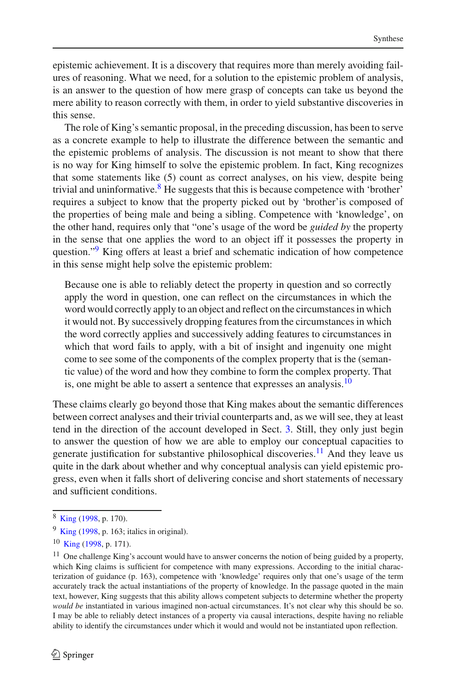epistemic achievement. It is a discovery that requires more than merely avoiding failures of reasoning. What we need, for a solution to the epistemic problem of analysis, is an answer to the question of how mere grasp of concepts can take us beyond the mere ability to reason correctly with them, in order to yield substantive discoveries in this sense.

The role of King's semantic proposal, in the preceding discussion, has been to serve as a concrete example to help to illustrate the difference between the semantic and the epistemic problems of analysis. The discussion is not meant to show that there is no way for King himself to solve the epistemic problem. In fact, King recognizes that some statements like (5) count as correct analyses, on his view, despite being trivial and uninformative.  $8$  He suggests that this is because competence with 'brother' requires a subject to know that the property picked out by 'brother'is composed of the properties of being male and being a sibling. Competence with 'knowledge', on the other hand, requires only that "one's usage of the word be *guided by* the property in the sense that one applies the word to an object iff it possesses the property in question."<sup>9</sup> King offers at least a brief and schematic indication of how competence in this sense might help solve the epistemic problem:

Because one is able to reliably detect the property in question and so correctly apply the word in question, one can reflect on the circumstances in which the word would correctly apply to an object and reflect on the circumstances in which it would not. By successively dropping features from the circumstances in which the word correctly applies and successively adding features to circumstances in which that word fails to apply, with a bit of insight and ingenuity one might come to see some of the components of the complex property that is the (semantic value) of the word and how they combine to form the complex property. That is, one might be able to assert a sentence that expresses an analysis. $10$ 

These claims clearly go beyond those that King makes about the semantic differences between correct analyses and their trivial counterparts and, as we will see, they at least tend in the direction of the account developed in Sect. [3.](#page-13-0) Still, they only just begin to answer the question of how we are able to employ our conceptual capacities to generate justification for substantive philosophical discoveries.<sup>11</sup> And they leave us quite in the dark about whether and why conceptual analysis can yield epistemic progress, even when it falls short of delivering concise and short statements of necessary and sufficient conditions.

<sup>8</sup> [King](#page-21-3) [\(1998](#page-21-3), p. 170).

<span id="page-7-1"></span><span id="page-7-0"></span> $9$  [King](#page-21-3) [\(1998](#page-21-3), p. 163; italics in original).

 $10$  [King](#page-21-3) [\(1998,](#page-21-3) p. 171).

<span id="page-7-3"></span><span id="page-7-2"></span> $11$  One challenge King's account would have to answer concerns the notion of being guided by a property, which King claims is sufficient for competence with many expressions. According to the initial characterization of guidance (p. 163), competence with 'knowledge' requires only that one's usage of the term accurately track the actual instantiations of the property of knowledge. In the passage quoted in the main text, however, King suggests that this ability allows competent subjects to determine whether the property *would be* instantiated in various imagined non-actual circumstances. It's not clear why this should be so. I may be able to reliably detect instances of a property via causal interactions, despite having no reliable ability to identify the circumstances under which it would and would not be instantiated upon reflection.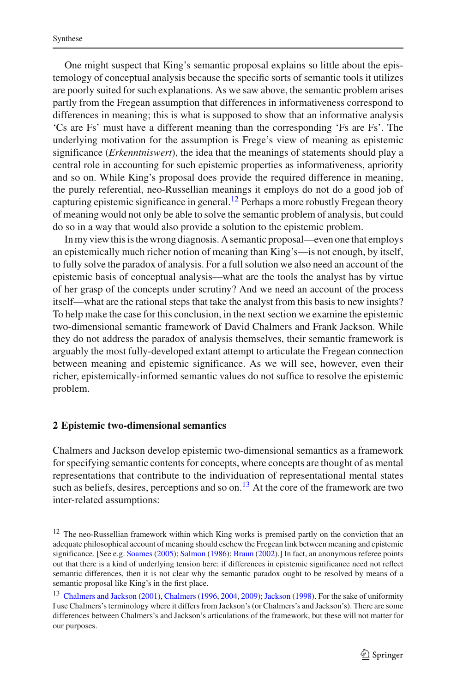One might suspect that King's semantic proposal explains so little about the epistemology of conceptual analysis because the specific sorts of semantic tools it utilizes are poorly suited for such explanations. As we saw above, the semantic problem arises partly from the Fregean assumption that differences in informativeness correspond to differences in meaning; this is what is supposed to show that an informative analysis 'Cs are Fs' must have a different meaning than the corresponding 'Fs are Fs'. The underlying motivation for the assumption is Frege's view of meaning as epistemic significance (*Erkenntniswert*), the idea that the meanings of statements should play a central role in accounting for such epistemic properties as informativeness, apriority and so on. While King's proposal does provide the required difference in meaning, the purely referential, neo-Russellian meanings it employs do not do a good job of capturing epistemic significance in general.<sup>12</sup> Perhaps a more robustly Fregean theory of meaning would not only be able to solve the semantic problem of analysis, but could do so in a way that would also provide a solution to the epistemic problem.

In my view this is the wrong diagnosis. A semantic proposal—even one that employs an epistemically much richer notion of meaning than King's—is not enough, by itself, to fully solve the paradox of analysis. For a full solution we also need an account of the epistemic basis of conceptual analysis—what are the tools the analyst has by virtue of her grasp of the concepts under scrutiny? And we need an account of the process itself—what are the rational steps that take the analyst from this basis to new insights? To help make the case for this conclusion, in the next section we examine the epistemic two-dimensional semantic framework of David Chalmers and Frank Jackson. While they do not address the paradox of analysis themselves, their semantic framework is arguably the most fully-developed extant attempt to articulate the Fregean connection between meaning and epistemic significance. As we will see, however, even their richer, epistemically-informed semantic values do not suffice to resolve the epistemic problem.

#### <span id="page-8-0"></span>**2 Epistemic two-dimensional semantics**

Chalmers and Jackson develop epistemic two-dimensional semantics as a framework for specifying semantic contents for concepts, where concepts are thought of as mental representations that contribute to the individuation of representational mental states such as beliefs, desires, perceptions and so on.<sup>13</sup> At the core of the framework are two inter-related assumptions:

<span id="page-8-1"></span><sup>&</sup>lt;sup>12</sup> The neo-Russellian framework within which King works is premised partly on the conviction that an adequate philosophical account of meaning should eschew the Fregean link between meaning and epistemic significance. [See e.g. [Soames](#page-21-12) [\(2005\)](#page-21-12); [Salmon](#page-21-13) [\(1986](#page-21-13)); [Braun](#page-21-14) [\(2002](#page-21-14)).] In fact, an anonymous referee points out that there is a kind of underlying tension here: if differences in epistemic significance need not reflect semantic differences, then it is not clear why the semantic paradox ought to be resolved by means of a semantic proposal like King's in the first place.

<span id="page-8-2"></span><sup>13</sup> [Chalmers and Jackson](#page-21-15) [\(2001\)](#page-21-15), [Chalmers](#page-21-16) [\(1996,](#page-21-16) [2004](#page-21-17), [2009\)](#page-21-18); [Jackson](#page-21-19) [\(1998\)](#page-21-19). For the sake of uniformity I use Chalmers's terminology where it differs from Jackson's (or Chalmers's and Jackson's). There are some differences between Chalmers's and Jackson's articulations of the framework, but these will not matter for our purposes.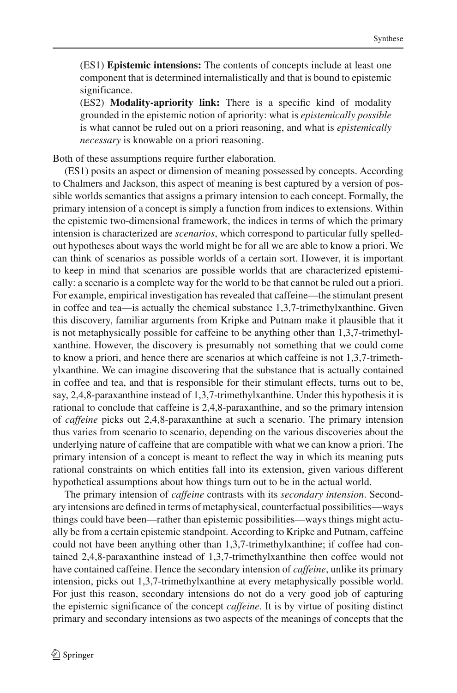(ES1) **Epistemic intensions:** The contents of concepts include at least one component that is determined internalistically and that is bound to epistemic significance.

(ES2) **Modality-apriority link:** There is a specific kind of modality grounded in the epistemic notion of apriority: what is *epistemically possible* is what cannot be ruled out on a priori reasoning, and what is *epistemically necessary* is knowable on a priori reasoning.

Both of these assumptions require further elaboration.

(ES1) posits an aspect or dimension of meaning possessed by concepts. According to Chalmers and Jackson, this aspect of meaning is best captured by a version of possible worlds semantics that assigns a primary intension to each concept. Formally, the primary intension of a concept is simply a function from indices to extensions. Within the epistemic two-dimensional framework, the indices in terms of which the primary intension is characterized are *scenarios*, which correspond to particular fully spelledout hypotheses about ways the world might be for all we are able to know a priori. We can think of scenarios as possible worlds of a certain sort. However, it is important to keep in mind that scenarios are possible worlds that are characterized epistemically: a scenario is a complete way for the world to be that cannot be ruled out a priori. For example, empirical investigation has revealed that caffeine—the stimulant present in coffee and tea—is actually the chemical substance 1,3,7-trimethylxanthine. Given this discovery, familiar arguments from Kripke and Putnam make it plausible that it is not metaphysically possible for caffeine to be anything other than 1,3,7-trimethylxanthine. However, the discovery is presumably not something that we could come to know a priori, and hence there are scenarios at which caffeine is not 1,3,7-trimethylxanthine. We can imagine discovering that the substance that is actually contained in coffee and tea, and that is responsible for their stimulant effects, turns out to be, say, 2,4,8-paraxanthine instead of 1,3,7-trimethylxanthine. Under this hypothesis it is rational to conclude that caffeine is 2,4,8-paraxanthine, and so the primary intension of *caffeine* picks out 2,4,8-paraxanthine at such a scenario. The primary intension thus varies from scenario to scenario, depending on the various discoveries about the underlying nature of caffeine that are compatible with what we can know a priori. The primary intension of a concept is meant to reflect the way in which its meaning puts rational constraints on which entities fall into its extension, given various different hypothetical assumptions about how things turn out to be in the actual world.

The primary intension of *caffeine* contrasts with its *secondary intension*. Secondary intensions are defined in terms of metaphysical, counterfactual possibilities—ways things could have been—rather than epistemic possibilities—ways things might actually be from a certain epistemic standpoint. According to Kripke and Putnam, caffeine could not have been anything other than 1,3,7-trimethylxanthine; if coffee had contained 2,4,8-paraxanthine instead of 1,3,7-trimethylxanthine then coffee would not have contained caffeine. Hence the secondary intension of *caffeine*, unlike its primary intension, picks out 1,3,7-trimethylxanthine at every metaphysically possible world. For just this reason, secondary intensions do not do a very good job of capturing the epistemic significance of the concept *caffeine*. It is by virtue of positing distinct primary and secondary intensions as two aspects of the meanings of concepts that the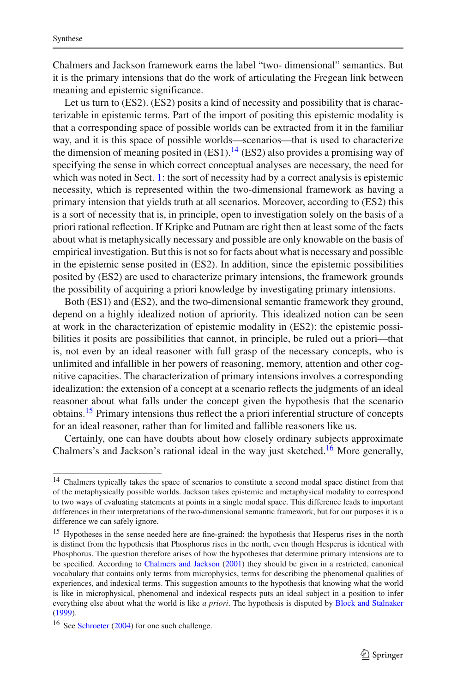Chalmers and Jackson framework earns the label "two- dimensional" semantics. But it is the primary intensions that do the work of articulating the Fregean link between meaning and epistemic significance.

Let us turn to (ES2). (ES2) posits a kind of necessity and possibility that is characterizable in epistemic terms. Part of the import of positing this epistemic modality is that a corresponding space of possible worlds can be extracted from it in the familiar way, and it is this space of possible worlds—scenarios—that is used to characterize the dimension of meaning posited in  $(ES1)$ .<sup>14</sup>  $(ES2)$  also provides a promising way of specifying the sense in which correct conceptual analyses are necessary, the need for which was noted in Sect. [1:](#page-1-0) the sort of necessity had by a correct analysis is epistemic necessity, which is represented within the two-dimensional framework as having a primary intension that yields truth at all scenarios. Moreover, according to (ES2) this is a sort of necessity that is, in principle, open to investigation solely on the basis of a priori rational reflection. If Kripke and Putnam are right then at least some of the facts about what is metaphysically necessary and possible are only knowable on the basis of empirical investigation. But this is not so for facts about what is necessary and possible in the epistemic sense posited in (ES2). In addition, since the epistemic possibilities posited by (ES2) are used to characterize primary intensions, the framework grounds the possibility of acquiring a priori knowledge by investigating primary intensions.

Both (ES1) and (ES2), and the two-dimensional semantic framework they ground, depend on a highly idealized notion of apriority. This idealized notion can be seen at work in the characterization of epistemic modality in (ES2): the epistemic possibilities it posits are possibilities that cannot, in principle, be ruled out a priori—that is, not even by an ideal reasoner with full grasp of the necessary concepts, who is unlimited and infallible in her powers of reasoning, memory, attention and other cognitive capacities. The characterization of primary intensions involves a corresponding idealization: the extension of a concept at a scenario reflects the judgments of an ideal reasoner about what falls under the concept given the hypothesis that the scenario obtains[.15](#page-10-1) Primary intensions thus reflect the a priori inferential structure of concepts for an ideal reasoner, rather than for limited and fallible reasoners like us.

Certainly, one can have doubts about how closely ordinary subjects approximate Chalmers's and Jackson's rational ideal in the way just sketched.<sup>[16](#page-10-2)</sup> More generally,

<span id="page-10-0"></span><sup>&</sup>lt;sup>14</sup> Chalmers typically takes the space of scenarios to constitute a second modal space distinct from that of the metaphysically possible worlds. Jackson takes epistemic and metaphysical modality to correspond to two ways of evaluating statements at points in a single modal space. This difference leads to important differences in their interpretations of the two-dimensional semantic framework, but for our purposes it is a difference we can safely ignore.

<span id="page-10-1"></span><sup>&</sup>lt;sup>15</sup> Hypotheses in the sense needed here are fine-grained: the hypothesis that Hesperus rises in the north is distinct from the hypothesis that Phosphorus rises in the north, even though Hesperus is identical with Phosphorus. The question therefore arises of how the hypotheses that determine primary intensions are to be specified. According to [Chalmers and Jackson](#page-21-15) [\(2001\)](#page-21-15) they should be given in a restricted, canonical vocabulary that contains only terms from microphysics, terms for describing the phenomenal qualities of experiences, and indexical terms. This suggestion amounts to the hypothesis that knowing what the world is like in microphysical, phenomenal and indexical respects puts an ideal subject in a position to infer everything else about what the world is like *a priori*. The hypothesis is disputed by [Block and Stalnaker](#page-21-20) [\(1999](#page-21-20)).

<span id="page-10-2"></span><sup>16</sup> See [Schroeter](#page-21-21) [\(2004\)](#page-21-21) for one such challenge.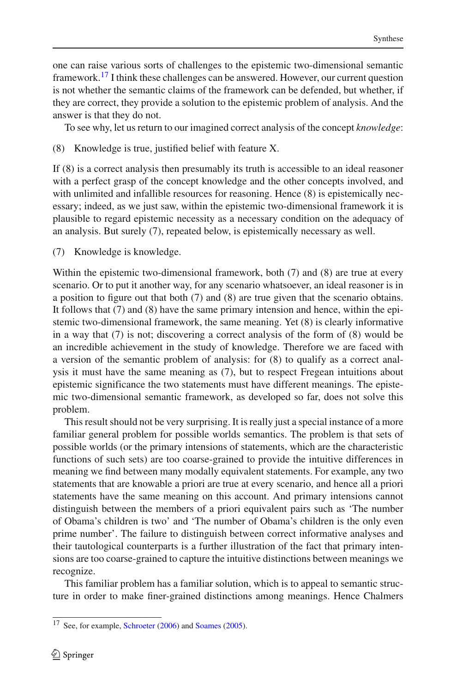one can raise various sorts of challenges to the epistemic two-dimensional semantic framework.[17](#page-11-0) I think these challenges can be answered. However, our current question is not whether the semantic claims of the framework can be defended, but whether, if they are correct, they provide a solution to the epistemic problem of analysis. And the answer is that they do not.

To see why, let us return to our imagined correct analysis of the concept *knowledge*:

(8) Knowledge is true, justified belief with feature X.

If (8) is a correct analysis then presumably its truth is accessible to an ideal reasoner with a perfect grasp of the concept knowledge and the other concepts involved, and with unlimited and infallible resources for reasoning. Hence  $(8)$  is epistemically necessary; indeed, as we just saw, within the epistemic two-dimensional framework it is plausible to regard epistemic necessity as a necessary condition on the adequacy of an analysis. But surely (7), repeated below, is epistemically necessary as well.

(7) Knowledge is knowledge.

Within the epistemic two-dimensional framework, both (7) and (8) are true at every scenario. Or to put it another way, for any scenario whatsoever, an ideal reasoner is in a position to figure out that both (7) and (8) are true given that the scenario obtains. It follows that (7) and (8) have the same primary intension and hence, within the epistemic two-dimensional framework, the same meaning. Yet (8) is clearly informative in a way that (7) is not; discovering a correct analysis of the form of (8) would be an incredible achievement in the study of knowledge. Therefore we are faced with a version of the semantic problem of analysis: for (8) to qualify as a correct analysis it must have the same meaning as (7), but to respect Fregean intuitions about epistemic significance the two statements must have different meanings. The epistemic two-dimensional semantic framework, as developed so far, does not solve this problem.

This result should not be very surprising. It is really just a special instance of a more familiar general problem for possible worlds semantics. The problem is that sets of possible worlds (or the primary intensions of statements, which are the characteristic functions of such sets) are too coarse-grained to provide the intuitive differences in meaning we find between many modally equivalent statements. For example, any two statements that are knowable a priori are true at every scenario, and hence all a priori statements have the same meaning on this account. And primary intensions cannot distinguish between the members of a priori equivalent pairs such as 'The number of Obama's children is two' and 'The number of Obama's children is the only even prime number'. The failure to distinguish between correct informative analyses and their tautological counterparts is a further illustration of the fact that primary intensions are too coarse-grained to capture the intuitive distinctions between meanings we recognize.

This familiar problem has a familiar solution, which is to appeal to semantic structure in order to make finer-grained distinctions among meanings. Hence Chalmers

<span id="page-11-0"></span><sup>&</sup>lt;sup>17</sup> See, for example, [Schroeter](#page-21-22) [\(2006\)](#page-21-22) and [Soames](#page-21-12) [\(2005](#page-21-12)).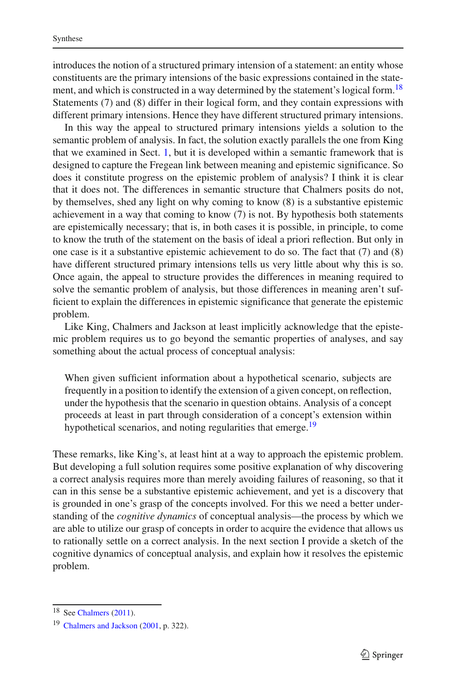# introduces the notion of a structured primary intension of a statement: an entity whose constituents are the primary intensions of the basic expressions contained in the state-ment, and which is constructed in a way determined by the statement's logical form.<sup>[18](#page-12-0)</sup> Statements (7) and (8) differ in their logical form, and they contain expressions with different primary intensions. Hence they have different structured primary intensions.

In this way the appeal to structured primary intensions yields a solution to the semantic problem of analysis. In fact, the solution exactly parallels the one from King that we examined in Sect. [1,](#page-1-0) but it is developed within a semantic framework that is designed to capture the Fregean link between meaning and epistemic significance. So does it constitute progress on the epistemic problem of analysis? I think it is clear that it does not. The differences in semantic structure that Chalmers posits do not, by themselves, shed any light on why coming to know (8) is a substantive epistemic achievement in a way that coming to know (7) is not. By hypothesis both statements are epistemically necessary; that is, in both cases it is possible, in principle, to come to know the truth of the statement on the basis of ideal a priori reflection. But only in one case is it a substantive epistemic achievement to do so. The fact that (7) and (8) have different structured primary intensions tells us very little about why this is so. Once again, the appeal to structure provides the differences in meaning required to solve the semantic problem of analysis, but those differences in meaning aren't sufficient to explain the differences in epistemic significance that generate the epistemic problem.

Like King, Chalmers and Jackson at least implicitly acknowledge that the epistemic problem requires us to go beyond the semantic properties of analyses, and say something about the actual process of conceptual analysis:

When given sufficient information about a hypothetical scenario, subjects are frequently in a position to identify the extension of a given concept, on reflection, under the hypothesis that the scenario in question obtains. Analysis of a concept proceeds at least in part through consideration of a concept's extension within hypothetical scenarios, and noting regularities that emerge.<sup>[19](#page-12-1)</sup>

These remarks, like King's, at least hint at a way to approach the epistemic problem. But developing a full solution requires some positive explanation of why discovering a correct analysis requires more than merely avoiding failures of reasoning, so that it can in this sense be a substantive epistemic achievement, and yet is a discovery that is grounded in one's grasp of the concepts involved. For this we need a better understanding of the *cognitive dynamics* of conceptual analysis—the process by which we are able to utilize our grasp of concepts in order to acquire the evidence that allows us to rationally settle on a correct analysis. In the next section I provide a sketch of the cognitive dynamics of conceptual analysis, and explain how it resolves the epistemic problem.

 $18$  See [Chalmers](#page-21-23) [\(2011\)](#page-21-23).

<span id="page-12-1"></span><span id="page-12-0"></span><sup>19</sup> [Chalmers and Jackson](#page-21-15) [\(2001,](#page-21-15) p. 322).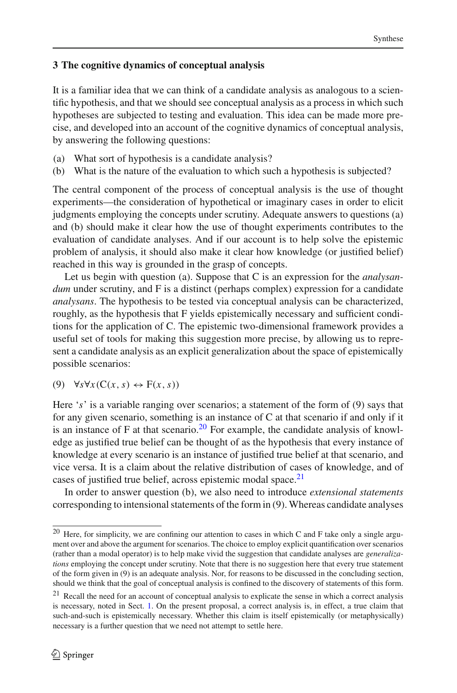## <span id="page-13-0"></span>**3 The cognitive dynamics of conceptual analysis**

It is a familiar idea that we can think of a candidate analysis as analogous to a scientific hypothesis, and that we should see conceptual analysis as a process in which such hypotheses are subjected to testing and evaluation. This idea can be made more precise, and developed into an account of the cognitive dynamics of conceptual analysis, by answering the following questions:

- (a) What sort of hypothesis is a candidate analysis?
- (b) What is the nature of the evaluation to which such a hypothesis is subjected?

The central component of the process of conceptual analysis is the use of thought experiments—the consideration of hypothetical or imaginary cases in order to elicit judgments employing the concepts under scrutiny. Adequate answers to questions (a) and (b) should make it clear how the use of thought experiments contributes to the evaluation of candidate analyses. And if our account is to help solve the epistemic problem of analysis, it should also make it clear how knowledge (or justified belief) reached in this way is grounded in the grasp of concepts.

Let us begin with question (a). Suppose that C is an expression for the *analysandum* under scrutiny, and F is a distinct (perhaps complex) expression for a candidate *analysans*. The hypothesis to be tested via conceptual analysis can be characterized, roughly, as the hypothesis that F yields epistemically necessary and sufficient conditions for the application of C. The epistemic two-dimensional framework provides a useful set of tools for making this suggestion more precise, by allowing us to represent a candidate analysis as an explicit generalization about the space of epistemically possible scenarios:

(9) ∀*s*∀*x(*C*(x,s)* ↔ F*(x,s))*

Here 's' is a variable ranging over scenarios; a statement of the form of (9) says that for any given scenario, something is an instance of C at that scenario if and only if it is an instance of F at that scenario.<sup>[20](#page-13-1)</sup> For example, the candidate analysis of knowledge as justified true belief can be thought of as the hypothesis that every instance of knowledge at every scenario is an instance of justified true belief at that scenario, and vice versa. It is a claim about the relative distribution of cases of knowledge, and of cases of justified true belief, across epistemic modal space.<sup>21</sup>

In order to answer question (b), we also need to introduce *extensional statements* corresponding to intensional statements of the form in (9). Whereas candidate analyses

<span id="page-13-1"></span><sup>&</sup>lt;sup>20</sup> Here, for simplicity, we are confining our attention to cases in which C and F take only a single argument over and above the argument for scenarios. The choice to employ explicit quantification over scenarios (rather than a modal operator) is to help make vivid the suggestion that candidate analyses are *generalizations* employing the concept under scrutiny. Note that there is no suggestion here that every true statement of the form given in (9) is an adequate analysis. Nor, for reasons to be discussed in the concluding section, should we think that the goal of conceptual analysis is confined to the discovery of statements of this form.

<span id="page-13-2"></span><sup>21</sup> Recall the need for an account of conceptual analysis to explicate the sense in which a correct analysis is necessary, noted in Sect. [1.](#page-1-0) On the present proposal, a correct analysis is, in effect, a true claim that such-and-such is epistemically necessary. Whether this claim is itself epistemically (or metaphysically) necessary is a further question that we need not attempt to settle here.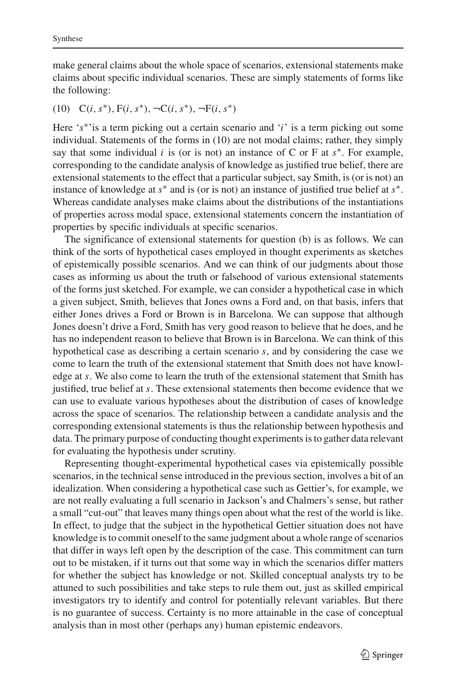make general claims about the whole space of scenarios, extensional statements make claims about specific individual scenarios. These are simply statements of forms like the following:

(10) C*(i,s*∗*),* F*(i,s*∗*),* ¬C*(i,s*∗*),* ¬F*(i,s*∗*)*

Here '*s*∗'is a term picking out a certain scenario and '*i*' is a term picking out some individual. Statements of the forms in (10) are not modal claims; rather, they simply say that some individual  $i$  is (or is not) an instance of C or F at  $s^*$ . For example, corresponding to the candidate analysis of knowledge as justified true belief, there are extensional statements to the effect that a particular subject, say Smith, is (or is not) an instance of knowledge at *s*∗ and is (or is not) an instance of justified true belief at *s*∗. Whereas candidate analyses make claims about the distributions of the instantiations of properties across modal space, extensional statements concern the instantiation of properties by specific individuals at specific scenarios.

The significance of extensional statements for question (b) is as follows. We can think of the sorts of hypothetical cases employed in thought experiments as sketches of epistemically possible scenarios. And we can think of our judgments about those cases as informing us about the truth or falsehood of various extensional statements of the forms just sketched. For example, we can consider a hypothetical case in which a given subject, Smith, believes that Jones owns a Ford and, on that basis, infers that either Jones drives a Ford or Brown is in Barcelona. We can suppose that although Jones doesn't drive a Ford, Smith has very good reason to believe that he does, and he has no independent reason to believe that Brown is in Barcelona. We can think of this hypothetical case as describing a certain scenario *s*, and by considering the case we come to learn the truth of the extensional statement that Smith does not have knowledge at *s*. We also come to learn the truth of the extensional statement that Smith has justified, true belief at *s*. These extensional statements then become evidence that we can use to evaluate various hypotheses about the distribution of cases of knowledge across the space of scenarios. The relationship between a candidate analysis and the corresponding extensional statements is thus the relationship between hypothesis and data. The primary purpose of conducting thought experiments is to gather data relevant for evaluating the hypothesis under scrutiny.

Representing thought-experimental hypothetical cases via epistemically possible scenarios, in the technical sense introduced in the previous section, involves a bit of an idealization. When considering a hypothetical case such as Gettier's, for example, we are not really evaluating a full scenario in Jackson's and Chalmers's sense, but rather a small "cut-out" that leaves many things open about what the rest of the world is like. In effect, to judge that the subject in the hypothetical Gettier situation does not have knowledge is to commit oneself to the same judgment about a whole range of scenarios that differ in ways left open by the description of the case. This commitment can turn out to be mistaken, if it turns out that some way in which the scenarios differ matters for whether the subject has knowledge or not. Skilled conceptual analysts try to be attuned to such possibilities and take steps to rule them out, just as skilled empirical investigators try to identify and control for potentially relevant variables. But there is no guarantee of success. Certainty is no more attainable in the case of conceptual analysis than in most other (perhaps any) human epistemic endeavors.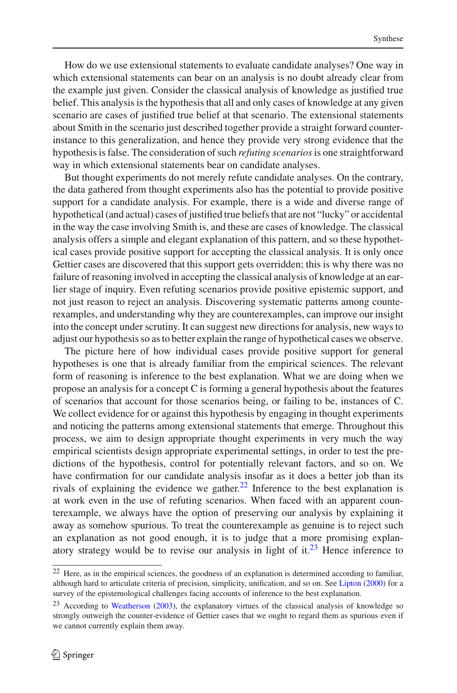How do we use extensional statements to evaluate candidate analyses? One way in which extensional statements can bear on an analysis is no doubt already clear from the example just given. Consider the classical analysis of knowledge as justified true belief. This analysis is the hypothesis that all and only cases of knowledge at any given scenario are cases of justified true belief at that scenario. The extensional statements about Smith in the scenario just described together provide a straight forward counterinstance to this generalization, and hence they provide very strong evidence that the hypothesis is false. The consideration of such *refuting scenarios*is one straightforward way in which extensional statements bear on candidate analyses.

But thought experiments do not merely refute candidate analyses. On the contrary, the data gathered from thought experiments also has the potential to provide positive support for a candidate analysis. For example, there is a wide and diverse range of hypothetical (and actual) cases of justified true beliefs that are not "lucky" or accidental in the way the case involving Smith is, and these are cases of knowledge. The classical analysis offers a simple and elegant explanation of this pattern, and so these hypothetical cases provide positive support for accepting the classical analysis. It is only once Gettier cases are discovered that this support gets overridden; this is why there was no failure of reasoning involved in accepting the classical analysis of knowledge at an earlier stage of inquiry. Even refuting scenarios provide positive epistemic support, and not just reason to reject an analysis. Discovering systematic patterns among counterexamples, and understanding why they are counterexamples, can improve our insight into the concept under scrutiny. It can suggest new directions for analysis, new ways to adjust our hypothesis so as to better explain the range of hypothetical cases we observe.

The picture here of how individual cases provide positive support for general hypotheses is one that is already familiar from the empirical sciences. The relevant form of reasoning is inference to the best explanation. What we are doing when we propose an analysis for a concept C is forming a general hypothesis about the features of scenarios that account for those scenarios being, or failing to be, instances of C. We collect evidence for or against this hypothesis by engaging in thought experiments and noticing the patterns among extensional statements that emerge. Throughout this process, we aim to design appropriate thought experiments in very much the way empirical scientists design appropriate experimental settings, in order to test the predictions of the hypothesis, control for potentially relevant factors, and so on. We have confirmation for our candidate analysis insofar as it does a better job than its rivals of explaining the evidence we gather.<sup>[22](#page-15-0)</sup> Inference to the best explanation is at work even in the use of refuting scenarios. When faced with an apparent counterexample, we always have the option of preserving our analysis by explaining it away as somehow spurious. To treat the counterexample as genuine is to reject such an explanation as not good enough, it is to judge that a more promising explanatory strategy would be to revise our analysis in light of it. $23$  Hence inference to

<span id="page-15-0"></span> $22$  Here, as in the empirical sciences, the goodness of an explanation is determined according to familiar, although hard to articulate criteria of precision, simplicity, unification, and so on. See [Lipton](#page-21-24) [\(2000](#page-21-24)) for a survey of the epistemological challenges facing accounts of inference to the best explanation.

<span id="page-15-1"></span><sup>&</sup>lt;sup>23</sup> According to [Weatherson](#page-21-25) [\(2003](#page-21-25)), the explanatory virtues of the classical analysis of knowledge so strongly outweigh the counter-evidence of Gettier cases that we ought to regard them as spurious even if we cannot currently explain them away.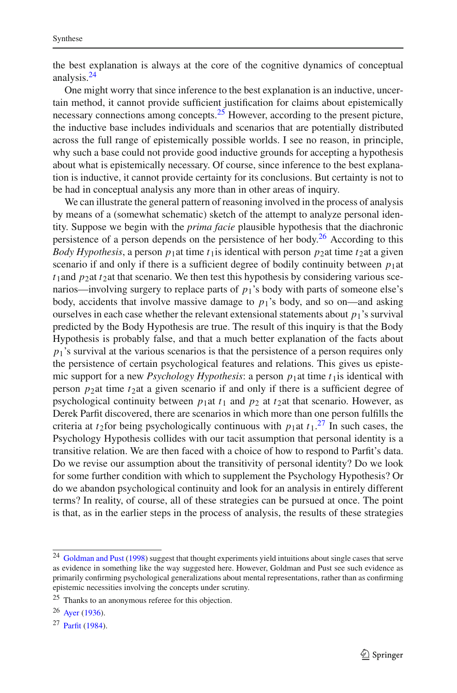the best explanation is always at the core of the cognitive dynamics of conceptual analysis.<sup>[24](#page-16-0)</sup>

One might worry that since inference to the best explanation is an inductive, uncertain method, it cannot provide sufficient justification for claims about epistemically necessary connections among concepts. $25$  However, according to the present picture, the inductive base includes individuals and scenarios that are potentially distributed across the full range of epistemically possible worlds. I see no reason, in principle, why such a base could not provide good inductive grounds for accepting a hypothesis about what is epistemically necessary. Of course, since inference to the best explanation is inductive, it cannot provide certainty for its conclusions. But certainty is not to be had in conceptual analysis any more than in other areas of inquiry.

We can illustrate the general pattern of reasoning involved in the process of analysis by means of a (somewhat schematic) sketch of the attempt to analyze personal identity. Suppose we begin with the *prima facie* plausible hypothesis that the diachronic persistence of a person depends on the persistence of her body.<sup>[26](#page-16-2)</sup> According to this *Body Hypothesis*, a person  $p_1$  at time  $t_1$  is identical with person  $p_2$  at time  $t_2$  at a given scenario if and only if there is a sufficient degree of bodily continuity between  $p_1$ at  $t_1$ and  $p_2$ at  $t_2$ at that scenario. We then test this hypothesis by considering various scenarios—involving surgery to replace parts of  $p_1$ 's body with parts of someone else's body, accidents that involve massive damage to  $p_1$ 's body, and so on—and asking ourselves in each case whether the relevant extensional statements about  $p_1$ 's survival predicted by the Body Hypothesis are true. The result of this inquiry is that the Body Hypothesis is probably false, and that a much better explanation of the facts about  $p_1$ 's survival at the various scenarios is that the persistence of a person requires only the persistence of certain psychological features and relations. This gives us epistemic support for a new *Psychology Hypothesis*: a person  $p_1$ at time  $t_1$  is identical with person *p*2at time *t*2at a given scenario if and only if there is a sufficient degree of psychological continuity between  $p_1$ at  $t_1$  and  $p_2$  at  $t_2$ at that scenario. However, as Derek Parfit discovered, there are scenarios in which more than one person fulfills the criteria at  $t_2$  for being psychologically continuous with  $p_1$ at  $t_1$ .<sup>[27](#page-16-3)</sup> In such cases, the Psychology Hypothesis collides with our tacit assumption that personal identity is a transitive relation. We are then faced with a choice of how to respond to Parfit's data. Do we revise our assumption about the transitivity of personal identity? Do we look for some further condition with which to supplement the Psychology Hypothesis? Or do we abandon psychological continuity and look for an analysis in entirely different terms? In reality, of course, all of these strategies can be pursued at once. The point is that, as in the earlier steps in the process of analysis, the results of these strategies

<span id="page-16-0"></span><sup>&</sup>lt;sup>24</sup> [Goldman and Pust](#page-21-26) [\(1998\)](#page-21-26) suggest that thought experiments yield intuitions about single cases that serve as evidence in something like the way suggested here. However, Goldman and Pust see such evidence as primarily confirming psychological generalizations about mental representations, rather than as confirming epistemic necessities involving the concepts under scrutiny.

<sup>25</sup> Thanks to an anonymous referee for this objection.

<span id="page-16-1"></span> $26$  [Ayer](#page-20-0) [\(1936\)](#page-20-0).

<span id="page-16-3"></span><span id="page-16-2"></span><sup>27</sup> [Parfit](#page-21-27) [\(1984\)](#page-21-27).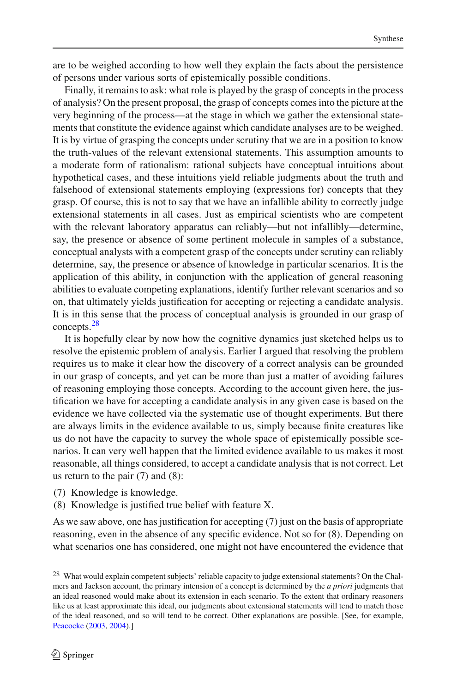are to be weighed according to how well they explain the facts about the persistence of persons under various sorts of epistemically possible conditions.

Finally, it remains to ask: what role is played by the grasp of concepts in the process of analysis? On the present proposal, the grasp of concepts comes into the picture at the very beginning of the process—at the stage in which we gather the extensional statements that constitute the evidence against which candidate analyses are to be weighed. It is by virtue of grasping the concepts under scrutiny that we are in a position to know the truth-values of the relevant extensional statements. This assumption amounts to a moderate form of rationalism: rational subjects have conceptual intuitions about hypothetical cases, and these intuitions yield reliable judgments about the truth and falsehood of extensional statements employing (expressions for) concepts that they grasp. Of course, this is not to say that we have an infallible ability to correctly judge extensional statements in all cases. Just as empirical scientists who are competent with the relevant laboratory apparatus can reliably—but not infallibly—determine, say, the presence or absence of some pertinent molecule in samples of a substance, conceptual analysts with a competent grasp of the concepts under scrutiny can reliably determine, say, the presence or absence of knowledge in particular scenarios. It is the application of this ability, in conjunction with the application of general reasoning abilities to evaluate competing explanations, identify further relevant scenarios and so on, that ultimately yields justification for accepting or rejecting a candidate analysis. It is in this sense that the process of conceptual analysis is grounded in our grasp of concepts[.28](#page-17-0)

It is hopefully clear by now how the cognitive dynamics just sketched helps us to resolve the epistemic problem of analysis. Earlier I argued that resolving the problem requires us to make it clear how the discovery of a correct analysis can be grounded in our grasp of concepts, and yet can be more than just a matter of avoiding failures of reasoning employing those concepts. According to the account given here, the justification we have for accepting a candidate analysis in any given case is based on the evidence we have collected via the systematic use of thought experiments. But there are always limits in the evidence available to us, simply because finite creatures like us do not have the capacity to survey the whole space of epistemically possible scenarios. It can very well happen that the limited evidence available to us makes it most reasonable, all things considered, to accept a candidate analysis that is not correct. Let us return to the pair  $(7)$  and  $(8)$ :

- (7) Knowledge is knowledge.
- (8) Knowledge is justified true belief with feature X.

As we saw above, one has justification for accepting (7) just on the basis of appropriate reasoning, even in the absence of any specific evidence. Not so for (8). Depending on what scenarios one has considered, one might not have encountered the evidence that

<span id="page-17-0"></span><sup>28</sup> What would explain competent subjects' reliable capacity to judge extensional statements? On the Chalmers and Jackson account, the primary intension of a concept is determined by the *a priori* judgments that an ideal reasoned would make about its extension in each scenario. To the extent that ordinary reasoners like us at least approximate this ideal, our judgments about extensional statements will tend to match those of the ideal reasoned, and so will tend to be correct. Other explanations are possible. [See, for example, [Peacocke](#page-21-28) [\(2003](#page-21-28), [2004](#page-21-29)).]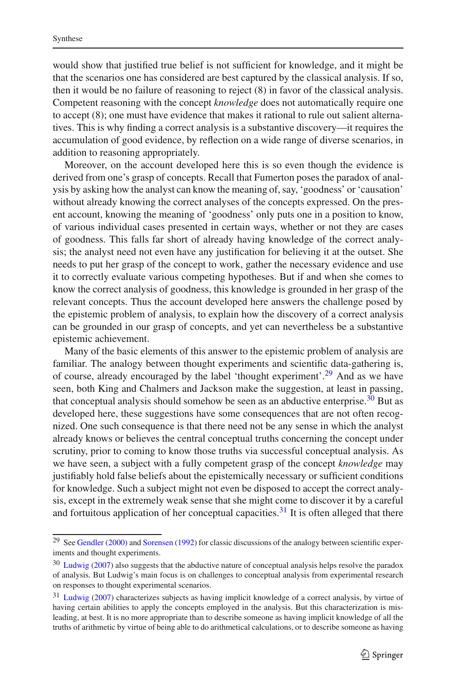would show that justified true belief is not sufficient for knowledge, and it might be that the scenarios one has considered are best captured by the classical analysis. If so, then it would be no failure of reasoning to reject (8) in favor of the classical analysis. Competent reasoning with the concept *knowledge* does not automatically require one to accept (8); one must have evidence that makes it rational to rule out salient alternatives. This is why finding a correct analysis is a substantive discovery—it requires the accumulation of good evidence, by reflection on a wide range of diverse scenarios, in addition to reasoning appropriately.

Moreover, on the account developed here this is so even though the evidence is derived from one's grasp of concepts. Recall that Fumerton poses the paradox of analysis by asking how the analyst can know the meaning of, say, 'goodness' or 'causation' without already knowing the correct analyses of the concepts expressed. On the present account, knowing the meaning of 'goodness' only puts one in a position to know, of various individual cases presented in certain ways, whether or not they are cases of goodness. This falls far short of already having knowledge of the correct analysis; the analyst need not even have any justification for believing it at the outset. She needs to put her grasp of the concept to work, gather the necessary evidence and use it to correctly evaluate various competing hypotheses. But if and when she comes to know the correct analysis of goodness, this knowledge is grounded in her grasp of the relevant concepts. Thus the account developed here answers the challenge posed by the epistemic problem of analysis, to explain how the discovery of a correct analysis can be grounded in our grasp of concepts, and yet can nevertheless be a substantive epistemic achievement.

Many of the basic elements of this answer to the epistemic problem of analysis are familiar. The analogy between thought experiments and scientific data-gathering is, of course, already encouraged by the label 'thought experiment'[.29](#page-18-0) And as we have seen, both King and Chalmers and Jackson make the suggestion, at least in passing, that conceptual analysis should somehow be seen as an abductive enterprise. $30$  But as developed here, these suggestions have some consequences that are not often recognized. One such consequence is that there need not be any sense in which the analyst already knows or believes the central conceptual truths concerning the concept under scrutiny, prior to coming to know those truths via successful conceptual analysis. As we have seen, a subject with a fully competent grasp of the concept *knowledge* may justifiably hold false beliefs about the epistemically necessary or sufficient conditions for knowledge. Such a subject might not even be disposed to accept the correct analysis, except in the extremely weak sense that she might come to discover it by a careful and fortuitous application of her conceptual capacities.<sup>31</sup> It is often alleged that there

<span id="page-18-0"></span><sup>&</sup>lt;sup>29</sup> See [Gendler](#page-21-30) [\(2000](#page-21-30)) and [Sorensen](#page-21-31) [\(1992\)](#page-21-31) for classic discussions of the analogy between scientific experiments and thought experiments.

<span id="page-18-1"></span><sup>&</sup>lt;sup>30</sup> [Ludwig](#page-21-32) [\(2007](#page-21-32)) also suggests that the abductive nature of conceptual analysis helps resolve the paradox of analysis. But Ludwig's main focus is on challenges to conceptual analysis from experimental research on responses to thought experimental scenarios.

<span id="page-18-2"></span><sup>&</sup>lt;sup>31</sup> [Ludwig](#page-21-32) [\(2007\)](#page-21-32) characterizes subjects as having implicit knowledge of a correct analysis, by virtue of having certain abilities to apply the concepts employed in the analysis. But this characterization is misleading, at best. It is no more appropriate than to describe someone as having implicit knowledge of all the truths of arithmetic by virtue of being able to do arithmetical calculations, or to describe someone as having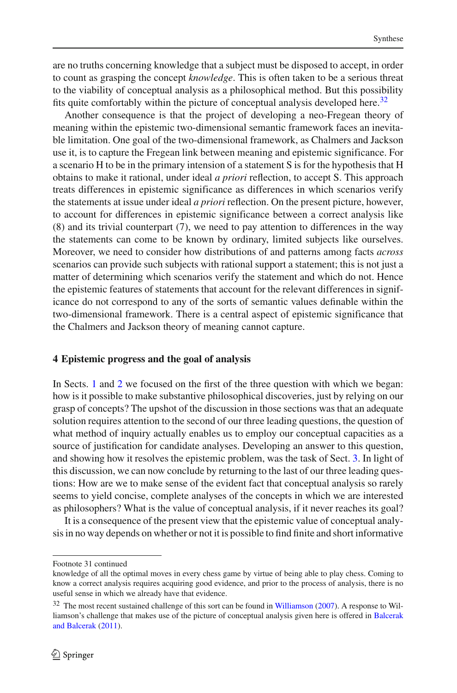are no truths concerning knowledge that a subject must be disposed to accept, in order to count as grasping the concept *knowledge*. This is often taken to be a serious threat to the viability of conceptual analysis as a philosophical method. But this possibility fits quite comfortably within the picture of conceptual analysis developed here.<sup>[32](#page-19-1)</sup>

Another consequence is that the project of developing a neo-Fregean theory of meaning within the epistemic two-dimensional semantic framework faces an inevitable limitation. One goal of the two-dimensional framework, as Chalmers and Jackson use it, is to capture the Fregean link between meaning and epistemic significance. For a scenario H to be in the primary intension of a statement S is for the hypothesis that H obtains to make it rational, under ideal *a priori* reflection, to accept S. This approach treats differences in epistemic significance as differences in which scenarios verify the statements at issue under ideal *a priori* reflection. On the present picture, however, to account for differences in epistemic significance between a correct analysis like (8) and its trivial counterpart (7), we need to pay attention to differences in the way the statements can come to be known by ordinary, limited subjects like ourselves. Moreover, we need to consider how distributions of and patterns among facts *across* scenarios can provide such subjects with rational support a statement; this is not just a matter of determining which scenarios verify the statement and which do not. Hence the epistemic features of statements that account for the relevant differences in significance do not correspond to any of the sorts of semantic values definable within the two-dimensional framework. There is a central aspect of epistemic significance that the Chalmers and Jackson theory of meaning cannot capture.

### <span id="page-19-0"></span>**4 Epistemic progress and the goal of analysis**

In Sects. [1](#page-1-0) and [2](#page-8-0) we focused on the first of the three question with which we began: how is it possible to make substantive philosophical discoveries, just by relying on our grasp of concepts? The upshot of the discussion in those sections was that an adequate solution requires attention to the second of our three leading questions, the question of what method of inquiry actually enables us to employ our conceptual capacities as a source of justification for candidate analyses. Developing an answer to this question, and showing how it resolves the epistemic problem, was the task of Sect. [3.](#page-13-0) In light of this discussion, we can now conclude by returning to the last of our three leading questions: How are we to make sense of the evident fact that conceptual analysis so rarely seems to yield concise, complete analyses of the concepts in which we are interested as philosophers? What is the value of conceptual analysis, if it never reaches its goal?

It is a consequence of the present view that the epistemic value of conceptual analysis in no way depends on whether or not it is possible to find finite and short informative

Footnote 31 continued

knowledge of all the optimal moves in every chess game by virtue of being able to play chess. Coming to know a correct analysis requires acquiring good evidence, and prior to the process of analysis, there is no useful sense in which we already have that evidence.

<span id="page-19-1"></span><sup>32</sup> The most recent sustained challenge of this sort can be found in [Williamson](#page-21-11) [\(2007\)](#page-21-11). A response to Williamson's ch[allenge](#page-20-1) [that](#page-20-1) [makes](#page-20-1) [use](#page-20-1) [of](#page-20-1) [the](#page-20-1) [picture](#page-20-1) [of](#page-20-1) [conceptual](#page-20-1) [analysis](#page-20-1) [given](#page-20-1) [here](#page-20-1) [is](#page-20-1) [offered](#page-20-1) [in](#page-20-1) Balcerak and Balcerak [\(2011](#page-20-1)).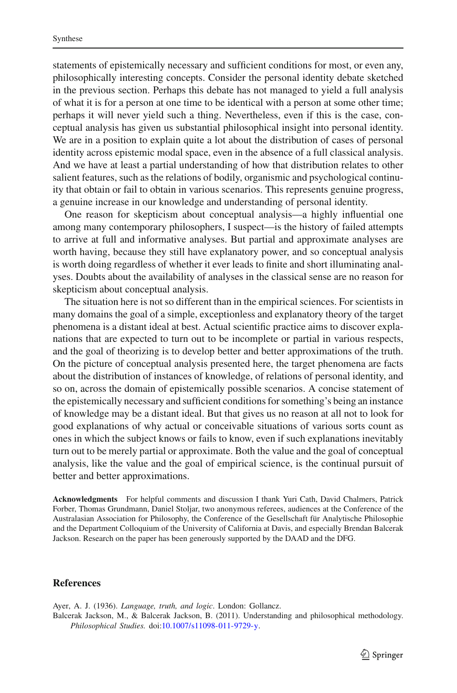statements of epistemically necessary and sufficient conditions for most, or even any, philosophically interesting concepts. Consider the personal identity debate sketched in the previous section. Perhaps this debate has not managed to yield a full analysis of what it is for a person at one time to be identical with a person at some other time; perhaps it will never yield such a thing. Nevertheless, even if this is the case, conceptual analysis has given us substantial philosophical insight into personal identity. We are in a position to explain quite a lot about the distribution of cases of personal identity across epistemic modal space, even in the absence of a full classical analysis. And we have at least a partial understanding of how that distribution relates to other salient features, such as the relations of bodily, organismic and psychological continuity that obtain or fail to obtain in various scenarios. This represents genuine progress, a genuine increase in our knowledge and understanding of personal identity.

One reason for skepticism about conceptual analysis—a highly influential one among many contemporary philosophers, I suspect—is the history of failed attempts to arrive at full and informative analyses. But partial and approximate analyses are worth having, because they still have explanatory power, and so conceptual analysis is worth doing regardless of whether it ever leads to finite and short illuminating analyses. Doubts about the availability of analyses in the classical sense are no reason for skepticism about conceptual analysis.

The situation here is not so different than in the empirical sciences. For scientists in many domains the goal of a simple, exceptionless and explanatory theory of the target phenomena is a distant ideal at best. Actual scientific practice aims to discover explanations that are expected to turn out to be incomplete or partial in various respects, and the goal of theorizing is to develop better and better approximations of the truth. On the picture of conceptual analysis presented here, the target phenomena are facts about the distribution of instances of knowledge, of relations of personal identity, and so on, across the domain of epistemically possible scenarios. A concise statement of the epistemically necessary and sufficient conditions for something's being an instance of knowledge may be a distant ideal. But that gives us no reason at all not to look for good explanations of why actual or conceivable situations of various sorts count as ones in which the subject knows or fails to know, even if such explanations inevitably turn out to be merely partial or approximate. Both the value and the goal of conceptual analysis, like the value and the goal of empirical science, is the continual pursuit of better and better approximations.

**Acknowledgments** For helpful comments and discussion I thank Yuri Cath, David Chalmers, Patrick Forber, Thomas Grundmann, Daniel Stoljar, two anonymous referees, audiences at the Conference of the Australasian Association for Philosophy, the Conference of the Gesellschaft für Analytische Philosophie and the Department Colloquium of the University of California at Davis, and especially Brendan Balcerak Jackson. Research on the paper has been generously supported by the DAAD and the DFG.

#### **References**

<span id="page-20-0"></span>Ayer, A. J. (1936). *Language, truth, and logic*. London: Gollancz.

<span id="page-20-1"></span>Balcerak Jackson, M., & Balcerak Jackson, B. (2011). Understanding and philosophical methodology. *Philosophical Studies.* doi[:10.1007/s11098-011-9729-y.](http://dx.doi.org/10.1007/s11098-011-9729-y)